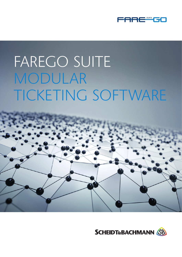

# FAREGO SUITE MODULAR TICKETING SOFTWARE



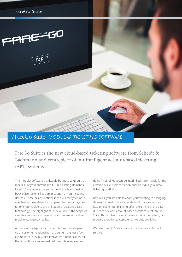

## / FareGo Suite MODULAR TICKETING SOFTWARE

FareGo Suite is the new cloud-based ticketing software from Scheidt & Bachmann and centrepiece of our intelligent account-based ticketing (ABT) systems.

The modular software is a flexible business-solution that meets all of your current and future ticketing demands. FareGo Suite covers the entire functionality of classical back-office systems like administration of your ticketing devices. These basic functionalities are already far more effective and user-friendly compared to previous generation systems due to the utilisation of account-based technology. The highlight of FareGo Suite is the scope of available features you have at hand to make innovative mobility concepts a reality.

Automated best-price calculation, business intelligence or customer relationship management are just a few examples of FareGo Suite's innovative functionalities. All these functionalities are realised through integrated modules. Thus, all data can be interlinked system-wide for the creation of a customer-friendly and individually tailored ticketing portfolio.

Best of all: you are able to adapt your ticketing to changing demands in real time – elaborate tariff changes with long lead time and high planning effort are a thing of the past due to the flexible account-based architecture of FareGo Suite. This applies to every measure inside the system, from report generation to comprehensive data archiving.

We offer FareGo Suite as local installation or as hosted IT service.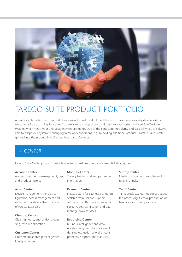

## FAREGO SUITE PRODUCT PORTFOLIO

A FareGo Suite system is composed of various individual product modules which have been specially developed for execution of particular key functions. You are able to merge those products into your custom-tailored FareGo Suite system, which meets your unique agency requirements. Due to the consistent modularity and scalability you are always able to adapt your system to changing framework conditions, e.g. by adding additional products. FareGo Suite is categorised into the product lines Center, Access and Connect.

## / CENTER

FareGo Suite Center products provide core functionalities of account-based ticketing systems.

#### Account.Center

Account and media management, tap and product history.

#### Asset.Center

Device management: handles configuration, access management and monitoring of device fleet (successor of FareGo Data CS).

#### Clearing.Center

Clearing house, end-of-day-processing, revenue allocation.

#### Customer.Center

Customer relationship management, loyalty schemes.

#### Mobility.Center

Travel planning and and passenger information.

#### Payment.Center

Infrastructure for cashless payments: scalable from PIN pad support software to authorisation server with P2PE, PA-DSS certification and payment gateway services.

#### Reporting.Center

Business intelligence and datawarehouse systems for creation of detailed evaluation as well as comprehensive reports and statistics.

#### Supply.Center

Media management, supplier and retail channels.

#### Tariff.Center

Tariff, products, journey construction, tap processing. Central production of barcodes for issued products.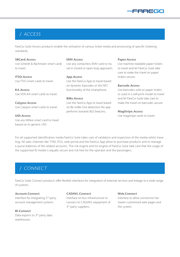

## / ACCESS

FareGo Suite Access products enable the utilisation of various ticket media and processing of specific ticketing standards.

#### SBCard.Access

Use Scheidt & Bachmann smart cards to travel.

ITSO.Access Use ITSO smart cards to travel.

KA.Access Use VDV-KA smart cards to travel.

Calypso.Access Use Calypso smart cards to travel.

UID.Access Use any Mifare smart card to travel based on its generic UID.

#### EMV.Access

Use any contactless EMV card to travel in closed or open loop approach.

#### App.Access

Use the FareGo App to travel based on dynamic barcodes or the NFC functionality of the smartphone.

#### BiBo.Access

Use the FareGo App to travel based on Be-In/Be-Out detection the app performs towards BLE beacons.

#### Paper.Access

Use machine readable paper tickets to travel and let FareGo Suite take care to make the travel on paper tickets secure.

#### Barcode.Access

Use barcodes sold on paper tickets or used in a self-print model to travel and let FareGo Suite take care to make the travel on barcodes secure.

#### MagStripe.Access

Use magstripe cards to travel.

For all supported identification media FareGo Suite takes care of validation and inspection of the media whilst traveling. All sales channels like TVM, POS, web portal and the FareGo App allow to purchase products and to manage e-purse balances of the related accounts. The risk engine and list engine of FareGo Suite take care that the usage of the supported ID media is equally secure and risk free for the operator and the passengers.

## / CONNECT

FareGo Suite Connect products offer flexible interfaces for integration of external services and linkage to a wide range of systems.

#### Account.Connect

Interface for integrating 3rd party account management systems.

BI.Connect Data exports to 3<sup>rd</sup> party data warehouses.

#### CADAVL.Connect

Interface on bus infrastructure to connect to CAD/AVL equipment of 3<sup>rd</sup> party suppliers.

#### Web.Connect

Interface to allow connection between customised web pages and the system.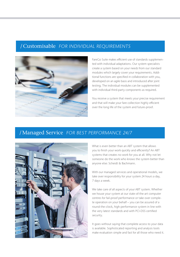## /Customisable FOR INDIVIDUAL REQUIREMENTS



FareGo Suite makes efficient use of standards supplemented with individual adaptations. Our system specialists create a system based on your needs from our standard modules which largely cover your requirements. Additional functions are specified in collaboration with you, developed on an agile basis and introduced after joint testing. The individual modules can be supplemented with individual third-party components as required.

You receive a system that meets your precise requirement and that will make your fare collection highly efficient over the long life of the system and future-proof.

## /Managed Service FOR BEST PERFORMANCE 24/7



What is even better than an ABT system that allows you to finish your work quickly and efficiently? An ABT systems that creates no work for you at all. Why not let someone do the work who knows the system better than anyone else: Scheidt & Bachmann.

With our managed services and operational models, we take over responsibility for your system 24 hours a day, 7 days a week.

We take care of all aspects of your ABT system. Whether we house your system at our state-of-the-art computer centres for fail-proof performance or take over complete operation on your behalf – you can be assured of a round-the-clock, high-performance system in line with the very latest standards and with PCI-DSS certified security.

It goes without saying that complete access to your data is available. Sophisticated reporting and analysis tools make evaluation simple and fast for all those who need it.